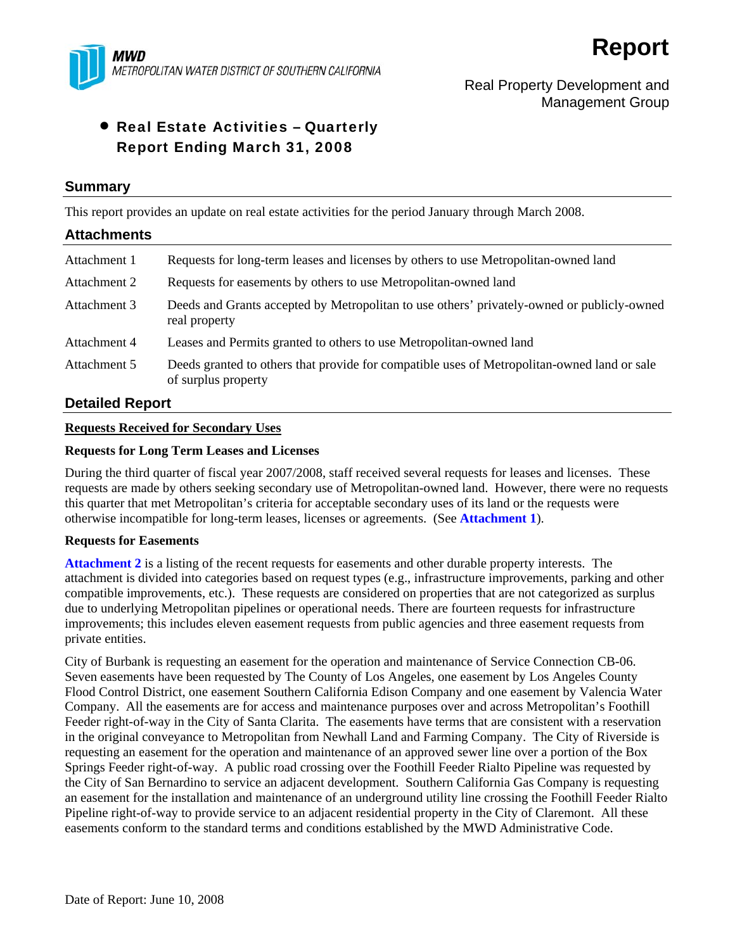

# Real Property Development and Management Group

# • Real Estate Activities – Quarterly Report Ending March 31, 2008

## **Summary**

This report provides an update on real estate activities for the period January through March 2008.

# **Attachments**  Attachment 1 Requests for long-term leases and licenses by others to use Metropolitan-owned land Attachment 2 Requests for easements by others to use Metropolitan-owned land Attachment 3 Deeds and Grants accepted by Metropolitan to use others' privately-owned or publicly-owned real property Attachment 4 Leases and Permits granted to others to use Metropolitan-owned land Attachment 5 Deeds granted to others that provide for compatible uses of Metropolitan-owned land or sale of surplus property

# **Detailed Report**

## **Requests Received for Secondary Uses**

## **Requests for Long Term Leases and Licenses**

During the third quarter of fiscal year 2007/2008, staff received several requests for leases and licenses. These requests are made by others seeking secondary use of Metropolitan-owned land. However, there were no requests this quarter that met Metropolitan's criteria for acceptable secondary uses of its land or the requests were otherwise incompatible for long-term leases, licenses or agreements. (See **Attachment 1**).

### **Requests for Easements**

**Attachment 2** is a listing of the recent requests for easements and other durable property interests. The attachment is divided into categories based on request types (e.g., infrastructure improvements, parking and other compatible improvements, etc.). These requests are considered on properties that are not categorized as surplus due to underlying Metropolitan pipelines or operational needs. There are fourteen requests for infrastructure improvements; this includes eleven easement requests from public agencies and three easement requests from private entities.

City of Burbank is requesting an easement for the operation and maintenance of Service Connection CB-06. Seven easements have been requested by The County of Los Angeles, one easement by Los Angeles County Flood Control District, one easement Southern California Edison Company and one easement by Valencia Water Company. All the easements are for access and maintenance purposes over and across Metropolitan's Foothill Feeder right-of-way in the City of Santa Clarita. The easements have terms that are consistent with a reservation in the original conveyance to Metropolitan from Newhall Land and Farming Company. The City of Riverside is requesting an easement for the operation and maintenance of an approved sewer line over a portion of the Box Springs Feeder right-of-way. A public road crossing over the Foothill Feeder Rialto Pipeline was requested by the City of San Bernardino to service an adjacent development. Southern California Gas Company is requesting an easement for the installation and maintenance of an underground utility line crossing the Foothill Feeder Rialto Pipeline right-of-way to provide service to an adjacent residential property in the City of Claremont. All these easements conform to the standard terms and conditions established by the MWD Administrative Code.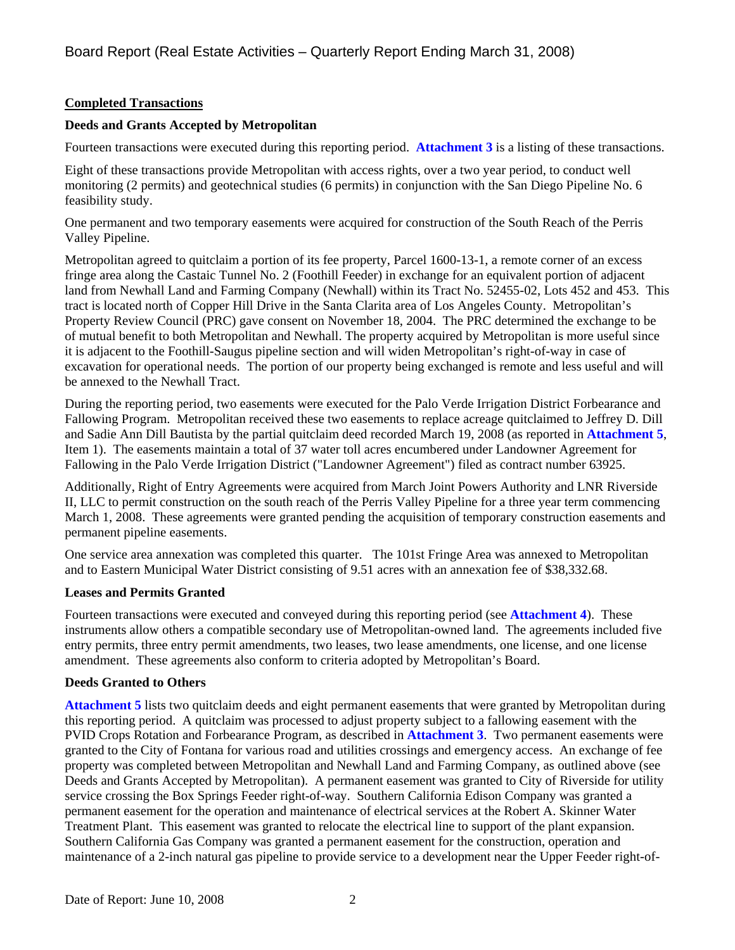# **Completed Transactions**

# **Deeds and Grants Accepted by Metropolitan**

Fourteen transactions were executed during this reporting period. **Attachment 3** is a listing of these transactions.

Eight of these transactions provide Metropolitan with access rights, over a two year period, to conduct well monitoring (2 permits) and geotechnical studies (6 permits) in conjunction with the San Diego Pipeline No. 6 feasibility study.

One permanent and two temporary easements were acquired for construction of the South Reach of the Perris Valley Pipeline.

Metropolitan agreed to quitclaim a portion of its fee property, Parcel 1600-13-1, a remote corner of an excess fringe area along the Castaic Tunnel No. 2 (Foothill Feeder) in exchange for an equivalent portion of adjacent land from Newhall Land and Farming Company (Newhall) within its Tract No. 52455-02, Lots 452 and 453. This tract is located north of Copper Hill Drive in the Santa Clarita area of Los Angeles County. Metropolitan's Property Review Council (PRC) gave consent on November 18, 2004. The PRC determined the exchange to be of mutual benefit to both Metropolitan and Newhall. The property acquired by Metropolitan is more useful since it is adjacent to the Foothill-Saugus pipeline section and will widen Metropolitan's right-of-way in case of excavation for operational needs. The portion of our property being exchanged is remote and less useful and will be annexed to the Newhall Tract.

During the reporting period, two easements were executed for the Palo Verde Irrigation District Forbearance and Fallowing Program. Metropolitan received these two easements to replace acreage quitclaimed to Jeffrey D. Dill and Sadie Ann Dill Bautista by the partial quitclaim deed recorded March 19, 2008 (as reported in **Attachment 5**, Item 1). The easements maintain a total of 37 water toll acres encumbered under Landowner Agreement for Fallowing in the Palo Verde Irrigation District ("Landowner Agreement") filed as contract number 63925.

Additionally, Right of Entry Agreements were acquired from March Joint Powers Authority and LNR Riverside II, LLC to permit construction on the south reach of the Perris Valley Pipeline for a three year term commencing March 1, 2008. These agreements were granted pending the acquisition of temporary construction easements and permanent pipeline easements.

One service area annexation was completed this quarter. The 101st Fringe Area was annexed to Metropolitan and to Eastern Municipal Water District consisting of 9.51 acres with an annexation fee of \$38,332.68.

# **Leases and Permits Granted**

Fourteen transactions were executed and conveyed during this reporting period (see **Attachment 4**). These instruments allow others a compatible secondary use of Metropolitan-owned land. The agreements included five entry permits, three entry permit amendments, two leases, two lease amendments, one license, and one license amendment. These agreements also conform to criteria adopted by Metropolitan's Board.

# **Deeds Granted to Others**

**Attachment 5** lists two quitclaim deeds and eight permanent easements that were granted by Metropolitan during this reporting period. A quitclaim was processed to adjust property subject to a fallowing easement with the PVID Crops Rotation and Forbearance Program, as described in **Attachment 3**. Two permanent easements were granted to the City of Fontana for various road and utilities crossings and emergency access. An exchange of fee property was completed between Metropolitan and Newhall Land and Farming Company, as outlined above (see Deeds and Grants Accepted by Metropolitan). A permanent easement was granted to City of Riverside for utility service crossing the Box Springs Feeder right-of-way. Southern California Edison Company was granted a permanent easement for the operation and maintenance of electrical services at the Robert A. Skinner Water Treatment Plant. This easement was granted to relocate the electrical line to support of the plant expansion. Southern California Gas Company was granted a permanent easement for the construction, operation and maintenance of a 2-inch natural gas pipeline to provide service to a development near the Upper Feeder right-of-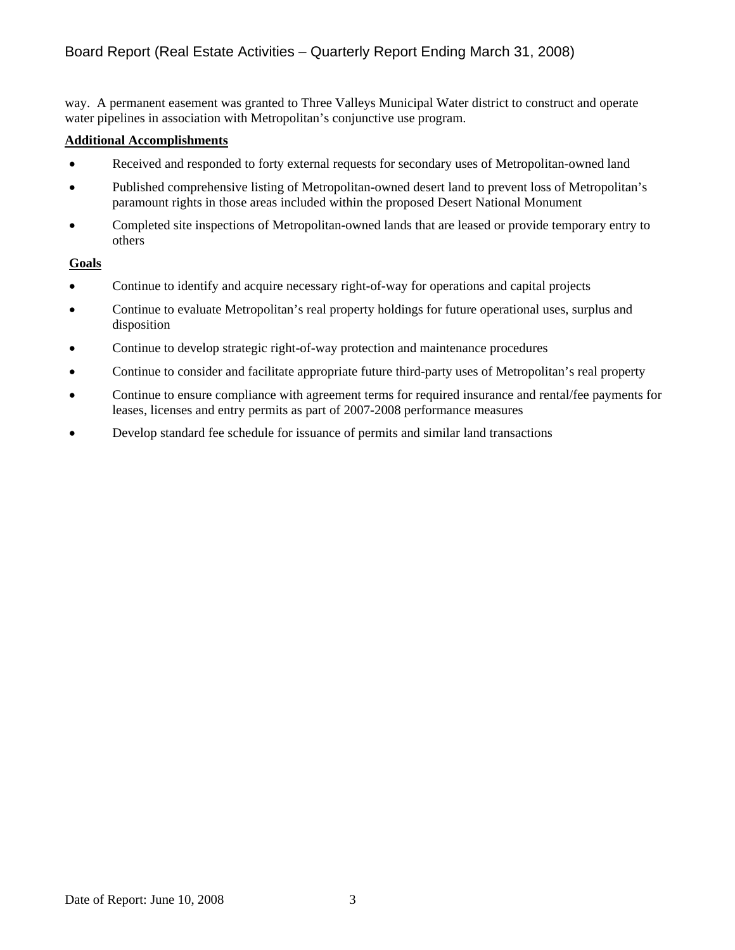# Board Report (Real Estate Activities – Quarterly Report Ending March 31, 2008)

way. A permanent easement was granted to Three Valleys Municipal Water district to construct and operate water pipelines in association with Metropolitan's conjunctive use program.

### **Additional Accomplishments**

- Received and responded to forty external requests for secondary uses of Metropolitan-owned land
- Published comprehensive listing of Metropolitan-owned desert land to prevent loss of Metropolitan's paramount rights in those areas included within the proposed Desert National Monument
- Completed site inspections of Metropolitan-owned lands that are leased or provide temporary entry to others

# **Goals**

- Continue to identify and acquire necessary right-of-way for operations and capital projects
- Continue to evaluate Metropolitan's real property holdings for future operational uses, surplus and disposition
- Continue to develop strategic right-of-way protection and maintenance procedures
- Continue to consider and facilitate appropriate future third-party uses of Metropolitan's real property
- Continue to ensure compliance with agreement terms for required insurance and rental/fee payments for leases, licenses and entry permits as part of 2007-2008 performance measures
- Develop standard fee schedule for issuance of permits and similar land transactions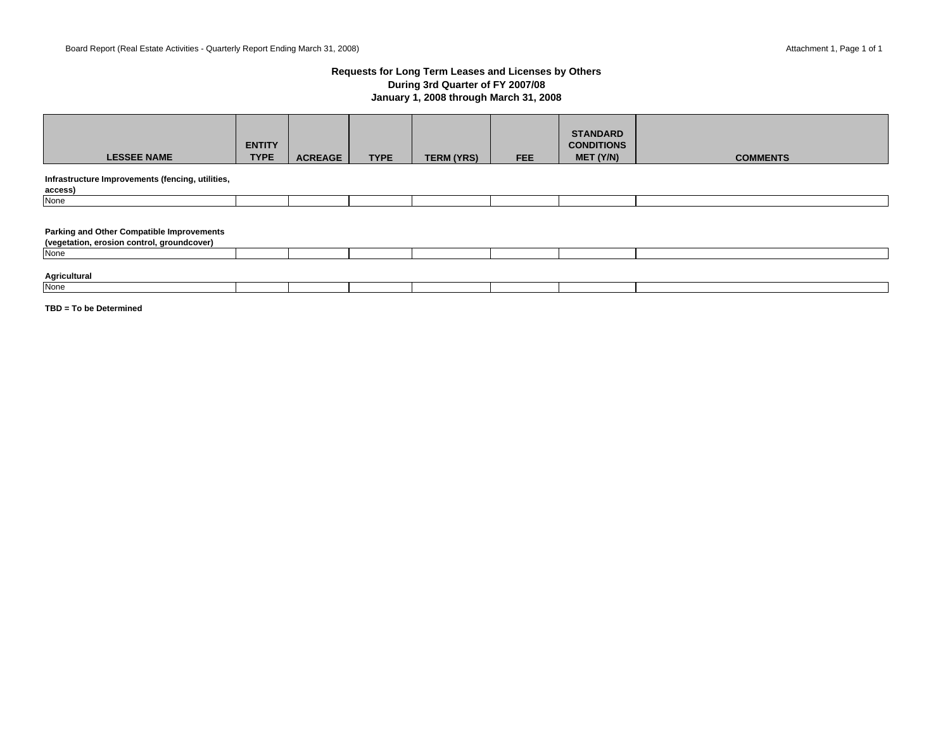### **Requests for Long Term Leases and Licenses by Others During 3rd Quarter of FY 2007/08 January 1, 2008 through March 31, 2008**

| <b>LESSEE NAME</b>                                                                             | <b>ENTITY</b><br><b>TYPE</b> | <b>ACREAGE</b> | <b>TYPE</b> | <b>TERM (YRS)</b> | <b>FEE</b> | <b>STANDARD</b><br><b>CONDITIONS</b><br>MET (Y/N) | <b>COMMENTS</b> |
|------------------------------------------------------------------------------------------------|------------------------------|----------------|-------------|-------------------|------------|---------------------------------------------------|-----------------|
| Infrastructure Improvements (fencing, utilities,<br>access)                                    |                              |                |             |                   |            |                                                   |                 |
| None                                                                                           |                              |                |             |                   |            |                                                   |                 |
| <b>Parking and Other Compatible Improvements</b><br>(vegetation, erosion control, groundcover) |                              |                |             |                   |            |                                                   |                 |
| <b>None</b>                                                                                    |                              |                |             |                   |            |                                                   |                 |
| Agricultural<br>None                                                                           |                              |                |             |                   |            |                                                   |                 |
|                                                                                                |                              |                |             |                   |            |                                                   |                 |

**TBD = To be Determined**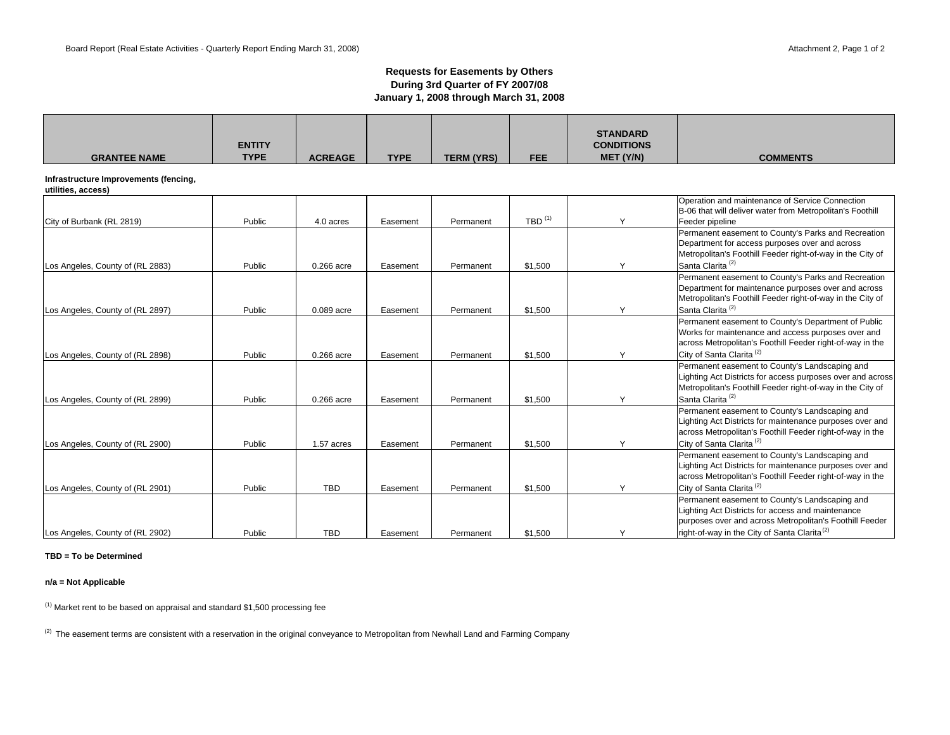#### **Requests for Easements by Others During 3rd Quarter of FY 2007/08 January 1, 2008 through March 31, 2008**

| <b>GRANTEE NAME</b>                                         | <b>ENTITY</b><br><b>TYPE</b> | <b>ACREAGE</b> | <b>TYPE</b> | <b>TERM (YRS)</b> | <b>FEE</b>                        | <b>STANDARD</b><br><b>CONDITIONS</b><br>MET (Y/N) | <b>COMMENTS</b>                                                                                                                                                                                                            |
|-------------------------------------------------------------|------------------------------|----------------|-------------|-------------------|-----------------------------------|---------------------------------------------------|----------------------------------------------------------------------------------------------------------------------------------------------------------------------------------------------------------------------------|
| Infrastructure Improvements (fencing,<br>utilities, access) |                              |                |             |                   |                                   |                                                   |                                                                                                                                                                                                                            |
| City of Burbank (RL 2819)                                   | Public                       | 4.0 acres      | Easement    | Permanent         | $TBD$ <sup><math>(1)</math></sup> | $\checkmark$                                      | Operation and maintenance of Service Connection<br>B-06 that will deliver water from Metropolitan's Foothill<br>Feeder pipeline                                                                                            |
| Los Angeles, County of (RL 2883)                            | Public                       | 0.266 acre     | Easement    | Permanent         | \$1,500                           | Y                                                 | Permanent easement to County's Parks and Recreation<br>Department for access purposes over and across<br>Metropolitan's Foothill Feeder right-of-way in the City of<br>Santa Clarita <sup>(2)</sup>                        |
| Los Angeles, County of (RL 2897)                            | Public                       | 0.089 acre     | Easement    | Permanent         | \$1,500                           | Y                                                 | Permanent easement to County's Parks and Recreation<br>Department for maintenance purposes over and across<br>Metropolitan's Foothill Feeder right-of-way in the City of<br>Santa Clarita <sup>(2)</sup>                   |
| Los Angeles, County of (RL 2898)                            | Public                       | 0.266 acre     | Easement    | Permanent         | \$1,500                           | Y                                                 | Permanent easement to County's Department of Public<br>Works for maintenance and access purposes over and<br>across Metropolitan's Foothill Feeder right-of-way in the<br>City of Santa Clarita <sup>(2)</sup>             |
| Los Angeles, County of (RL 2899)                            | Public                       | 0.266 acre     | Easement    | Permanent         | \$1,500                           | Y                                                 | Permanent easement to County's Landscaping and<br>Lighting Act Districts for access purposes over and across<br>Metropolitan's Foothill Feeder right-of-way in the City of<br>Santa Clarita <sup>(2)</sup>                 |
| Los Angeles, County of (RL 2900)                            | Public                       | 1.57 acres     | Easement    | Permanent         | \$1,500                           | Y                                                 | Permanent easement to County's Landscaping and<br>Lighting Act Districts for maintenance purposes over and<br>across Metropolitan's Foothill Feeder right-of-way in the<br>City of Santa Clarita <sup>(2)</sup>            |
| Los Angeles, County of (RL 2901)                            | Public                       | <b>TBD</b>     | Easement    | Permanent         | \$1,500                           | Y                                                 | Permanent easement to County's Landscaping and<br>Lighting Act Districts for maintenance purposes over and<br>across Metropolitan's Foothill Feeder right-of-way in the<br>City of Santa Clarita <sup>(2)</sup>            |
| Los Angeles, County of (RL 2902)                            | Public                       | <b>TBD</b>     | Easement    | Permanent         | \$1,500                           | Y                                                 | Permanent easement to County's Landscaping and<br>Lighting Act Districts for access and maintenance<br>purposes over and across Metropolitan's Foothill Feeder<br>right-of-way in the City of Santa Clarita <sup>(2)</sup> |

#### **TBD = To be Determined**

**n/a = Not Applicable**

 $(1)$  Market rent to be based on appraisal and standard \$1,500 processing fee

<sup>(2)</sup> The easement terms are consistent with a reservation in the original conveyance to Metropolitan from Newhall Land and Farming Company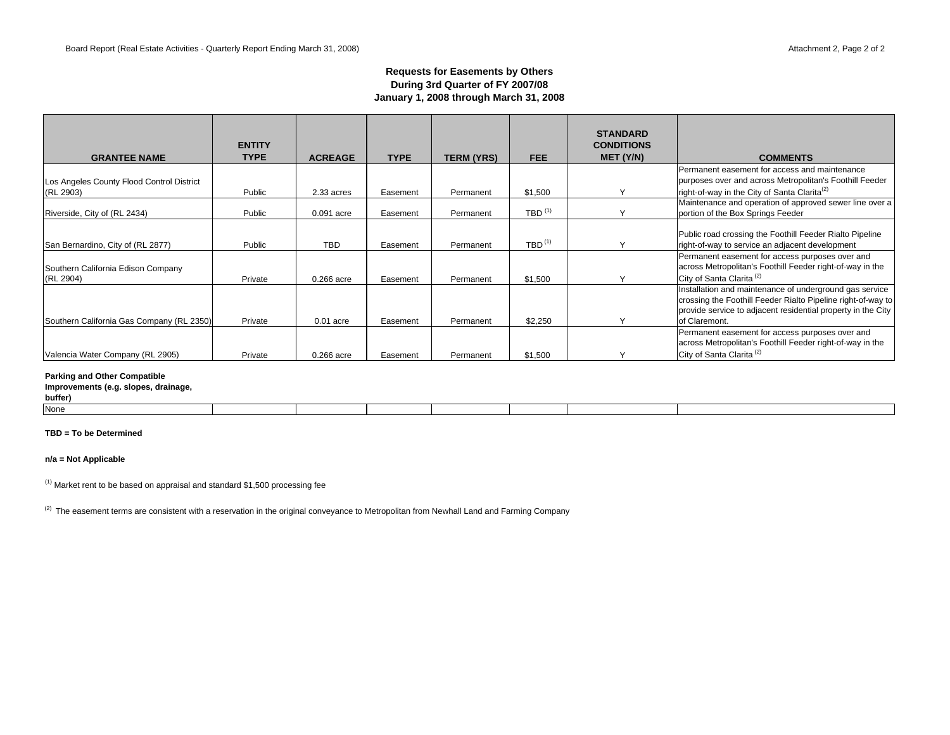### **Requests for Easements by Others During 3rd Quarter of FY 2007/08 January 1, 2008 through March 31, 2008**

| <b>GRANTEE NAME</b>                                    | <b>ENTITY</b><br><b>TYPE</b> | <b>ACREAGE</b> | <b>TYPE</b> | <b>TERM (YRS)</b> | FEE.                              | <b>STANDARD</b><br><b>CONDITIONS</b><br>MET (Y/N) | <b>COMMENTS</b>                                                                                                                                                                                          |
|--------------------------------------------------------|------------------------------|----------------|-------------|-------------------|-----------------------------------|---------------------------------------------------|----------------------------------------------------------------------------------------------------------------------------------------------------------------------------------------------------------|
|                                                        |                              |                |             |                   |                                   |                                                   | Permanent easement for access and maintenance<br>purposes over and across Metropolitan's Foothill Feeder                                                                                                 |
| Los Angeles County Flood Control District<br>(RL 2903) | Public                       | 2.33 acres     | Easement    | Permanent         | \$1,500                           |                                                   | right-of-way in the City of Santa Clarita <sup>(2)</sup>                                                                                                                                                 |
| Riverside, City of (RL 2434)                           | Public                       | 0.091 acre     | Easement    | Permanent         | $TBD$ <sup><math>(1)</math></sup> |                                                   | Maintenance and operation of approved sewer line over a<br>portion of the Box Springs Feeder                                                                                                             |
| San Bernardino, City of (RL 2877)                      | Public                       | <b>TBD</b>     | Easement    | Permanent         | $TBD$ <sup><math>(1)</math></sup> |                                                   | Public road crossing the Foothill Feeder Rialto Pipeline<br>right-of-way to service an adjacent development                                                                                              |
| Southern California Edison Company<br>(RL 2904)        | Private                      | 0.266 acre     | Easement    | Permanent         | \$1,500                           |                                                   | Permanent easement for access purposes over and<br>across Metropolitan's Foothill Feeder right-of-way in the<br>City of Santa Clarita <sup>(2)</sup>                                                     |
| Southern California Gas Company (RL 2350)              | Private                      | $0.01$ acre    | Easement    | Permanent         | \$2,250                           |                                                   | Installation and maintenance of underground gas service<br>crossing the Foothill Feeder Rialto Pipeline right-of-way to<br>provide service to adjacent residential property in the City<br>of Claremont. |
| Valencia Water Company (RL 2905)                       | Private                      | 0.266 acre     | Easement    | Permanent         | \$1,500                           |                                                   | Permanent easement for access purposes over and<br>across Metropolitan's Foothill Feeder right-of-way in the<br>City of Santa Clarita <sup>(2)</sup>                                                     |

#### **Parking and Other Compatible**

### **Improvements (e.g. slopes, drainage,**

**buffer)** None

#### **TBD = To be Determined**

#### **n/a = Not Applicable**

 $(1)$  Market rent to be based on appraisal and standard \$1,500 processing fee

<sup>(2)</sup> The easement terms are consistent with a reservation in the original conveyance to Metropolitan from Newhall Land and Farming Company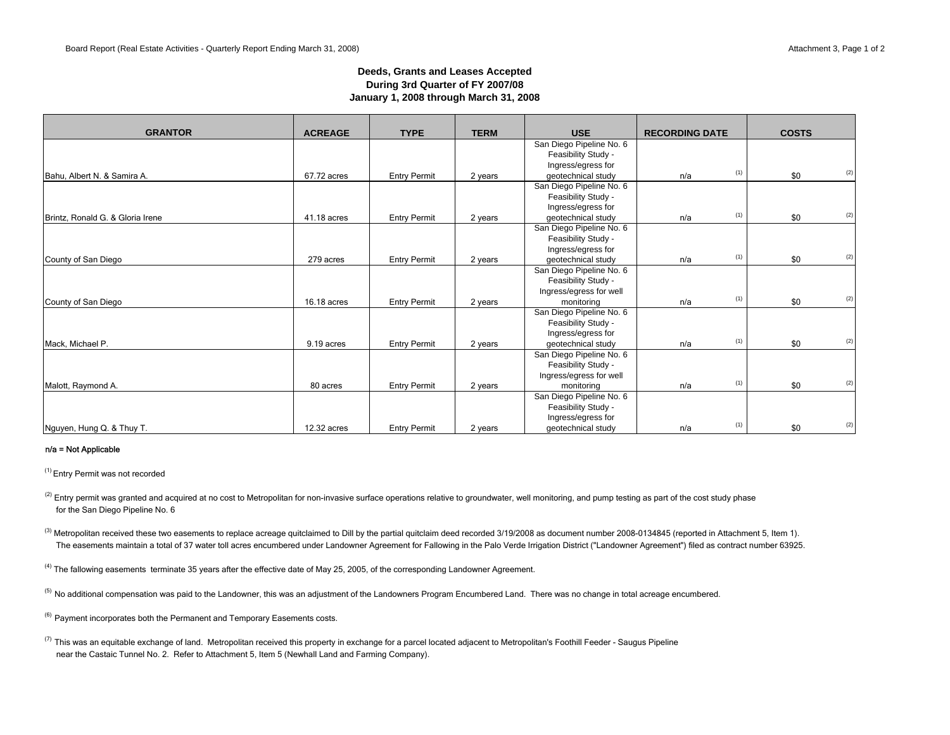### **Deeds, Grants and Leases Accepted During 3rd Quarter of FY 2007/08 January 1, 2008 through March 31, 2008**

| <b>GRANTOR</b>                   | <b>ACREAGE</b> | <b>TYPE</b>         | <b>TERM</b> | <b>USE</b>               | <b>RECORDING DATE</b> |     | <b>COSTS</b> |     |
|----------------------------------|----------------|---------------------|-------------|--------------------------|-----------------------|-----|--------------|-----|
|                                  |                |                     |             | San Diego Pipeline No. 6 |                       |     |              |     |
|                                  |                |                     |             | Feasibility Study -      |                       |     |              |     |
|                                  |                |                     |             | Ingress/egress for       |                       |     |              |     |
| Bahu, Albert N. & Samira A.      | 67.72 acres    | <b>Entry Permit</b> | 2 years     | geotechnical study       | n/a                   | (1) | \$0          | (2) |
|                                  |                |                     |             | San Diego Pipeline No. 6 |                       |     |              |     |
|                                  |                |                     |             | Feasibility Study -      |                       |     |              |     |
|                                  |                |                     |             | Ingress/egress for       |                       |     |              |     |
| Brintz, Ronald G. & Gloria Irene | 41.18 acres    | <b>Entry Permit</b> | 2 years     | geotechnical study       | n/a                   | (1) | \$0          | (2) |
|                                  |                |                     |             | San Diego Pipeline No. 6 |                       |     |              |     |
|                                  |                |                     |             | Feasibility Study -      |                       |     |              |     |
|                                  |                |                     |             | Ingress/egress for       |                       |     |              |     |
| County of San Diego              | 279 acres      | <b>Entry Permit</b> | 2 years     | geotechnical study       | n/a                   | (1) | \$0          | (2) |
|                                  |                |                     |             | San Diego Pipeline No. 6 |                       |     |              |     |
|                                  |                |                     |             | Feasibility Study -      |                       |     |              |     |
|                                  |                |                     |             | Ingress/egress for well  |                       |     |              |     |
| County of San Diego              | 16.18 acres    | <b>Entry Permit</b> | 2 years     | monitoring               | n/a                   | (1) | \$0          | (2) |
|                                  |                |                     |             | San Diego Pipeline No. 6 |                       |     |              |     |
|                                  |                |                     |             | Feasibility Study -      |                       |     |              |     |
|                                  |                |                     |             | Ingress/egress for       |                       |     |              |     |
| Mack, Michael P.                 | 9.19 acres     | <b>Entry Permit</b> | 2 years     | geotechnical study       | n/a                   | (1) | \$0          | (2) |
|                                  |                |                     |             | San Diego Pipeline No. 6 |                       |     |              |     |
|                                  |                |                     |             | Feasibility Study -      |                       |     |              |     |
|                                  |                |                     |             | Ingress/egress for well  |                       |     |              |     |
| Malott, Raymond A.               | 80 acres       | <b>Entry Permit</b> | 2 years     | monitoring               | n/a                   | (1) | \$0          | (2) |
|                                  |                |                     |             | San Diego Pipeline No. 6 |                       |     |              |     |
|                                  |                |                     |             | Feasibility Study -      |                       |     |              |     |
|                                  |                |                     |             | Ingress/egress for       |                       |     |              |     |
| Nguyen, Hung Q. & Thuy T.        | 12.32 acres    | <b>Entry Permit</b> | 2 years     | geotechnical study       | n/a                   | (1) | \$0          | (2) |

#### n/a = Not Applicable

(1) Entry Permit was not recorded

<sup>(2)</sup> Entry permit was granted and acquired at no cost to Metropolitan for non-invasive surface operations relative to groundwater, well monitoring, and pump testing as part of the cost study phase for the San Diego Pipeline No. 6

<sup>(3)</sup> Metropolitan received these two easements to replace acreage quitclaimed to Dill by the partial quitclaim deed recorded 3/19/2008 as document number 2008-0134845 (reported in Attachment 5, Item 1). The easements maintain a total of 37 water toll acres encumbered under Landowner Agreement for Fallowing in the Palo Verde Irrigation District ("Landowner Agreement") filed as contract number 63925.

<sup>(4)</sup> The fallowing easements terminate 35 years after the effective date of May 25, 2005, of the corresponding Landowner Agreement.

<sup>(5)</sup> No additional compensation was paid to the Landowner, this was an adjustment of the Landowners Program Encumbered Land. There was no change in total acreage encumbered.

<sup>(6)</sup> Payment incorporates both the Permanent and Temporary Easements costs.

 $^{(7)}$  This was an equitable exchange of land. Metropolitan received this property in exchange for a parcel located adjacent to Metropolitan's Foothill Feeder - Saugus Pipeline near the Castaic Tunnel No. 2. Refer to Attachment 5, Item 5 (Newhall Land and Farming Company).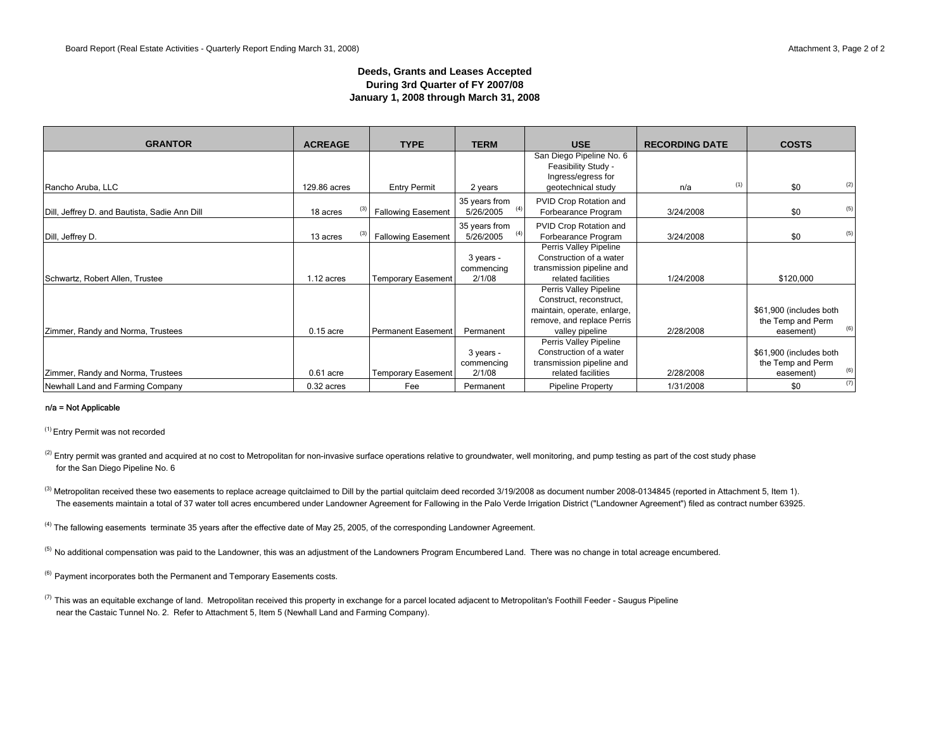### **Deeds, Grants and Leases Accepted During 3rd Quarter of FY 2007/08 January 1, 2008 through March 31, 2008**

| <b>GRANTOR</b><br><b>ACREAGE</b>              |              | <b>TYPE</b>               | <b>TERM</b>   | <b>USE</b>                                      | <b>RECORDING DATE</b> |     | <b>COSTS</b>            |
|-----------------------------------------------|--------------|---------------------------|---------------|-------------------------------------------------|-----------------------|-----|-------------------------|
|                                               |              |                           |               | San Diego Pipeline No. 6<br>Feasibility Study - |                       |     |                         |
|                                               |              |                           |               | Ingress/egress for                              |                       |     |                         |
| Rancho Aruba, LLC                             | 129.86 acres | <b>Entry Permit</b>       | 2 years       | geotechnical study                              | n/a                   | (1) | (2)<br>\$0              |
|                                               |              |                           | 35 years from | PVID Crop Rotation and                          |                       |     |                         |
| Dill, Jeffrey D. and Bautista, Sadie Ann Dill | 18 acres     | <b>Fallowing Easement</b> | 5/26/2005     | Forbearance Program                             | 3/24/2008             |     | (5)<br>\$0              |
|                                               |              |                           | 35 years from | PVID Crop Rotation and                          |                       |     |                         |
| Dill, Jeffrey D.                              | 13 acres     | <b>Fallowing Easement</b> | 5/26/2005     | Forbearance Program                             | 3/24/2008             |     | (5)<br>\$0              |
|                                               |              |                           |               | Perris Valley Pipeline                          |                       |     |                         |
|                                               |              |                           | 3 years -     | Construction of a water                         |                       |     |                         |
|                                               |              |                           | commencing    | transmission pipeline and                       |                       |     |                         |
| Schwartz, Robert Allen, Trustee               | $1.12$ acres | <b>Temporary Easement</b> | 2/1/08        | related facilities                              | 1/24/2008             |     | \$120,000               |
|                                               |              |                           |               | Perris Valley Pipeline                          |                       |     |                         |
|                                               |              |                           |               | Construct, reconstruct,                         |                       |     |                         |
|                                               |              |                           |               | maintain, operate, enlarge,                     |                       |     | \$61,900 (includes both |
|                                               |              |                           |               | remove, and replace Perris                      |                       |     | the Temp and Perm       |
| Zimmer, Randy and Norma, Trustees             | $0.15$ acre  | Permanent Easement        | Permanent     | valley pipeline                                 | 2/28/2008             |     | (6)<br>easement)        |
|                                               |              |                           |               | Perris Valley Pipeline                          |                       |     |                         |
|                                               |              |                           | 3 years -     | Construction of a water                         |                       |     | \$61,900 (includes both |
|                                               |              |                           | commencing    | transmission pipeline and                       |                       |     | the Temp and Perm       |
| Zimmer, Randy and Norma, Trustees             | $0.61$ acre  | <b>Temporary Easement</b> | 2/1/08        | related facilities                              | 2/28/2008             |     | (6)<br>easement)        |
| Newhall Land and Farming Company              | $0.32$ acres | Fee                       | Permanent     | Pipeline Property                               | 1/31/2008             |     | (7)<br>\$0              |

#### n/a = Not Applicable

(1) Entry Permit was not recorded

<sup>(2)</sup> Entry permit was granted and acquired at no cost to Metropolitan for non-invasive surface operations relative to groundwater, well monitoring, and pump testing as part of the cost study phase for the San Diego Pipeline No. 6

<sup>(3)</sup> Metropolitan received these two easements to replace acreage quitclaimed to Dill by the partial quitclaim deed recorded 3/19/2008 as document number 2008-0134845 (reported in Attachment 5, Item 1). The easements maintain a total of 37 water toll acres encumbered under Landowner Agreement for Fallowing in the Palo Verde Irrigation District ("Landowner Agreement") filed as contract number 63925.

<sup>(4)</sup> The fallowing easements terminate 35 years after the effective date of May 25, 2005, of the corresponding Landowner Agreement.

<sup>(5)</sup> No additional compensation was paid to the Landowner, this was an adjustment of the Landowners Program Encumbered Land. There was no change in total acreage encumbered.

<sup>(6)</sup> Payment incorporates both the Permanent and Temporary Easements costs.

 $^{(7)}$  This was an equitable exchange of land. Metropolitan received this property in exchange for a parcel located adjacent to Metropolitan's Foothill Feeder - Saugus Pipeline near the Castaic Tunnel No. 2. Refer to Attachment 5, Item 5 (Newhall Land and Farming Company).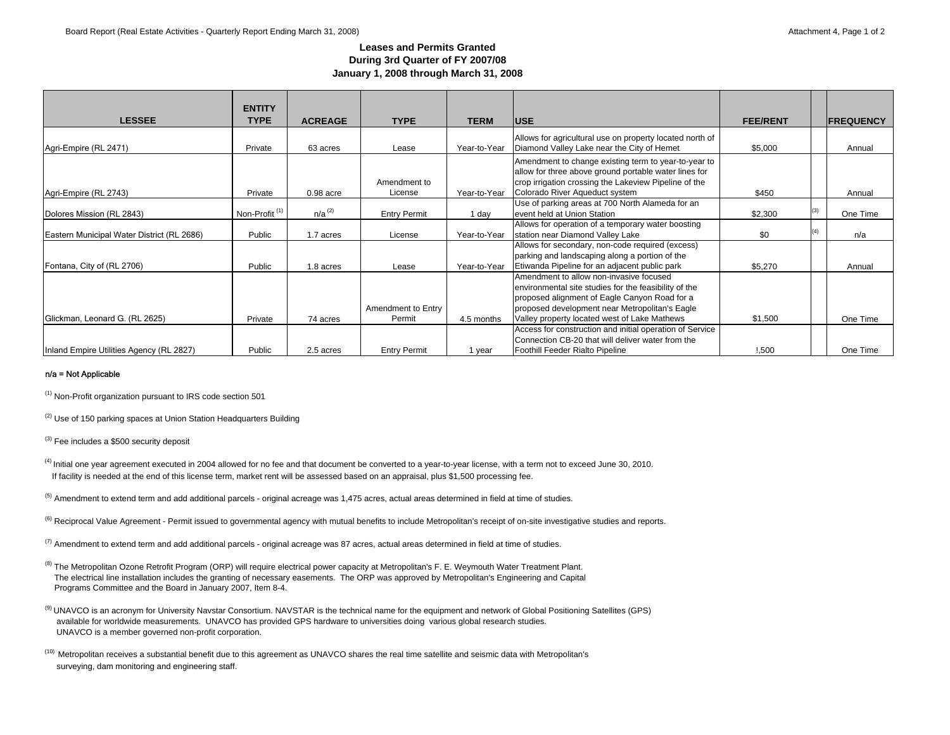### **Leases and Permits GrantedDuring 3rd Quarter of FY 2007/08 January 1, 2008 through March 31, 2008**

|                                            | <b>ENTITY</b>             |                |                         |              |                                                                                                                                                                                                          |                 |                   |
|--------------------------------------------|---------------------------|----------------|-------------------------|--------------|----------------------------------------------------------------------------------------------------------------------------------------------------------------------------------------------------------|-----------------|-------------------|
| <b>LESSEE</b>                              | <b>TYPE</b>               | <b>ACREAGE</b> | <b>TYPE</b>             | <b>TERM</b>  | <b>IUSE</b>                                                                                                                                                                                              | <b>FEE/RENT</b> | <b>IFREQUENCY</b> |
| Agri-Empire (RL 2471)                      | Private                   | 63 acres       | Lease                   | Year-to-Year | Allows for agricultural use on property located north of<br>Diamond Valley Lake near the City of Hemet                                                                                                   | \$5,000         | Annual            |
| Agri-Empire (RL 2743)                      | Private                   | $0.98$ acre    | Amendment to<br>License | Year-to-Year | Amendment to change existing term to year-to-year to<br>allow for three above ground portable water lines for<br>crop irrigation crossing the Lakeview Pipeline of the<br>Colorado River Aqueduct system | \$450           | Annual            |
| Dolores Mission (RL 2843)                  | Non-Profit <sup>(1)</sup> | $n/a^{(2)}$    | <b>Entry Permit</b>     | 1 day        | Use of parking areas at 700 North Alameda for an<br>event held at Union Station                                                                                                                          | \$2,300         | One Time          |
| Eastern Municipal Water District (RL 2686) | Public                    | 1.7 acres      | License                 | Year-to-Year | Allows for operation of a temporary water boosting<br>station near Diamond Valley Lake                                                                                                                   | \$0             | n/a               |
| Fontana, City of (RL 2706)                 | Public                    | 1.8 acres      | Lease                   | Year-to-Year | Allows for secondary, non-code required (excess)<br>parking and landscaping along a portion of the<br>Etiwanda Pipeline for an adjacent public park                                                      | \$5,270         | Annual            |
|                                            |                           |                | Amendment to Entry      |              | Amendment to allow non-invasive focused<br>environmental site studies for the feasibility of the<br>proposed alignment of Eagle Canyon Road for a<br>proposed development near Metropolitan's Eagle      |                 |                   |
| Glickman, Leonard G. (RL 2625)             | Private                   | 74 acres       | Permit                  | 4.5 months   | Valley property located west of Lake Mathews                                                                                                                                                             | \$1,500         | One Time          |
| Inland Empire Utilities Agency (RL 2827)   | Public                    | 2.5 acres      | <b>Entry Permit</b>     | 1 year       | Access for construction and initial operation of Service<br>Connection CB-20 that will deliver water from the<br>Foothill Feeder Rialto Pipeline                                                         | !,500           | One Time          |

#### n/a = Not Applicable

(1) Non-Profit organization pursuant to IRS code section 501

<sup>(2)</sup> Use of 150 parking spaces at Union Station Headquarters Building

<sup>(3)</sup> Fee includes a \$500 security deposit

- (4) Initial one year agreement executed in 2004 allowed for no fee and that document be converted to a year-to-year license, with a term not to exceed June 30, 2010. If facility is needed at the end of this license term, market rent will be assessed based on an appraisal, plus \$1,500 processing fee.
- $<sup>(5)</sup>$  Amendment to extend term and add additional parcels original acreage was 1,475 acres, actual areas determined in field at time of studies.</sup>
- <sup>(6)</sup> Reciprocal Value Agreement Permit issued to governmental agency with mutual benefits to include Metropolitan's receipt of on-site investigative studies and reports.
- $^{(7)}$  Amendment to extend term and add additional parcels original acreage was 87 acres, actual areas determined in field at time of studies.
- <sup>(8)</sup> The Metropolitan Ozone Retrofit Program (ORP) will require electrical power capacity at Metropolitan's F. E. Weymouth Water Treatment Plant. The electrical line installation includes the granting of necessary easements. The ORP was approved by Metropolitan's Engineering and Capital Programs Committee and the Board in January 2007, Item 8-4.
- (9) UNAVCO is an acronym for University Navstar Consortium. NAVSTAR is the technical name for the equipment and network of Global Positioning Satellites (GPS) available for worldwide measurements. UNAVCO has provided GPS hardware to universities doing various global research studies. UNAVCO is a member governed non-profit corporation.
- <sup>(10)</sup> Metropolitan receives a substantial benefit due to this agreement as UNAVCO shares the real time satellite and seismic data with Metropolitan's surveying, dam monitoring and engineering staff.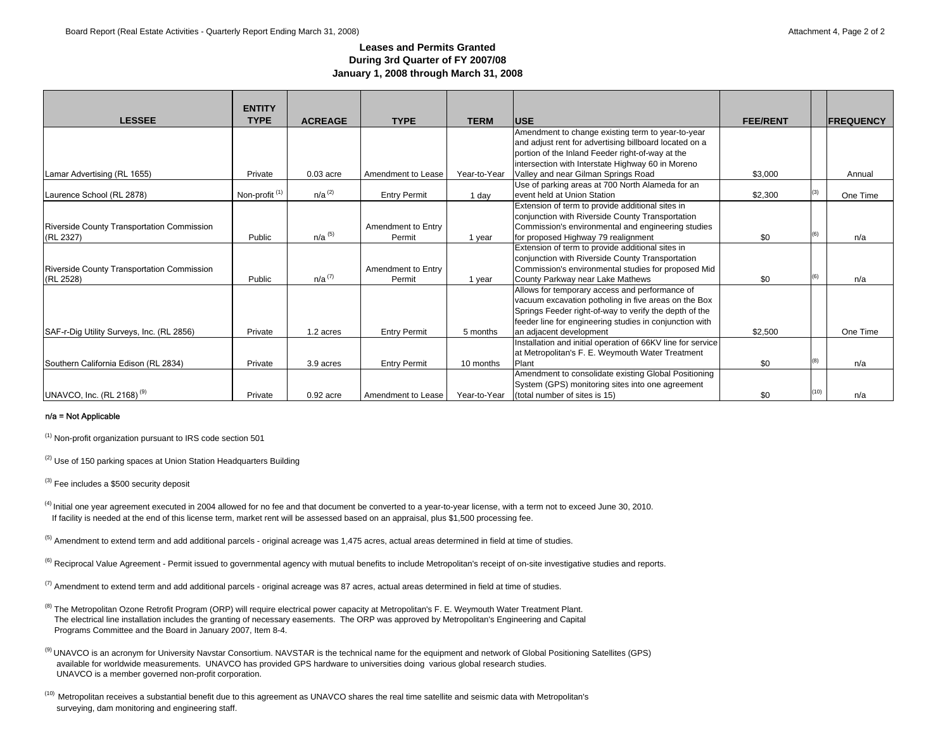### **Leases and Permits GrantedDuring 3rd Quarter of FY 2007/08 January 1, 2008 through March 31, 2008**

|                                            | <b>ENTITY</b>    |                |                     |              |                                                             |                 |      |                  |
|--------------------------------------------|------------------|----------------|---------------------|--------------|-------------------------------------------------------------|-----------------|------|------------------|
| <b>LESSEE</b>                              | <b>TYPE</b>      | <b>ACREAGE</b> | <b>TYPE</b>         | <b>TERM</b>  | <b>USE</b>                                                  | <b>FEE/RENT</b> |      | <b>FREQUENCY</b> |
|                                            |                  |                |                     |              | Amendment to change existing term to year-to-year           |                 |      |                  |
|                                            |                  |                |                     |              | and adjust rent for advertising billboard located on a      |                 |      |                  |
|                                            |                  |                |                     |              | portion of the Inland Feeder right-of-way at the            |                 |      |                  |
|                                            |                  |                |                     |              | intersection with Interstate Highway 60 in Moreno           |                 |      |                  |
| Lamar Advertising (RL 1655)                | Private          | $0.03$ acre    | Amendment to Lease  | Year-to-Year | Valley and near Gilman Springs Road                         | \$3,000         |      | Annual           |
|                                            |                  |                |                     |              | Use of parking areas at 700 North Alameda for an            |                 |      |                  |
| Laurence School (RL 2878)                  | Non-profit $(1)$ | $n/a^{(2)}$    | <b>Entry Permit</b> | 1 day        | levent held at Union Station                                | \$2,300         | (3)  | One Time         |
|                                            |                  |                |                     |              | Extension of term to provide additional sites in            |                 |      |                  |
|                                            |                  |                |                     |              | conjunction with Riverside County Transportation            |                 |      |                  |
| Riverside County Transportation Commission |                  |                | Amendment to Entry  |              | Commission's environmental and engineering studies          |                 |      |                  |
| (RL 2327)                                  | Public           | $n/a^{(5)}$    | Permit              | 1 year       | for proposed Highway 79 realignment                         | \$0             | (6)  | n/a              |
|                                            |                  |                |                     |              | Extension of term to provide additional sites in            |                 |      |                  |
|                                            |                  |                |                     |              | conjunction with Riverside County Transportation            |                 |      |                  |
| Riverside County Transportation Commission |                  |                | Amendment to Entry  |              | Commission's environmental studies for proposed Mid         |                 |      |                  |
| (RL 2528)                                  | Public           | $n/a^{(7)}$    | Permit              | 1 year       | County Parkway near Lake Mathews                            | \$0             | (6)  | n/a              |
|                                            |                  |                |                     |              | Allows for temporary access and performance of              |                 |      |                  |
|                                            |                  |                |                     |              | vacuum excavation potholing in five areas on the Box        |                 |      |                  |
|                                            |                  |                |                     |              | Springs Feeder right-of-way to verify the depth of the      |                 |      |                  |
|                                            |                  |                |                     |              | feeder line for engineering studies in conjunction with     |                 |      |                  |
| SAF-r-Dig Utility Surveys, Inc. (RL 2856)  | Private          | 1.2 acres      | <b>Entry Permit</b> | 5 months     | an adjacent development                                     | \$2,500         |      | One Time         |
|                                            |                  |                |                     |              | Installation and initial operation of 66KV line for service |                 |      |                  |
|                                            |                  |                |                     |              | at Metropolitan's F. E. Weymouth Water Treatment            |                 |      |                  |
| Southern California Edison (RL 2834)       | Private          | 3.9 acres      | <b>Entry Permit</b> | 10 months    | Plant                                                       | \$0             | (8)  | n/a              |
|                                            |                  |                |                     |              | Amendment to consolidate existing Global Positioning        |                 |      |                  |
|                                            |                  |                |                     |              | System (GPS) monitoring sites into one agreement            |                 |      |                  |
| UNAVCO, Inc. (RL 2168) <sup>(9)</sup>      | Private          | $0.92$ acre    | Amendment to Lease  | Year-to-Year | (total number of sites is 15)                               | \$0             | (10) | n/a              |

#### n/a = Not Applicable

(1) Non-profit organization pursuant to IRS code section 501

<sup>(2)</sup> Use of 150 parking spaces at Union Station Headquarters Building

 $(3)$  Fee includes a \$500 security deposit

(4) Initial one year agreement executed in 2004 allowed for no fee and that document be converted to a year-to-year license, with a term not to exceed June 30, 2010. If facility is needed at the end of this license term, market rent will be assessed based on an appraisal, plus \$1,500 processing fee.

 $<sup>(5)</sup>$  Amendment to extend term and add additional parcels - original acreage was 1,475 acres, actual areas determined in field at time of studies.</sup>

<sup>(6)</sup> Reciprocal Value Agreement - Permit issued to governmental agency with mutual benefits to include Metropolitan's receipt of on-site investigative studies and reports.

 $^{(7)}$  Amendment to extend term and add additional parcels - original acreage was 87 acres, actual areas determined in field at time of studies.

<sup>(8)</sup> The Metropolitan Ozone Retrofit Program (ORP) will require electrical power capacity at Metropolitan's F. E. Weymouth Water Treatment Plant. The electrical line installation includes the granting of necessary easements. The ORP was approved by Metropolitan's Engineering and Capital Programs Committee and the Board in January 2007, Item 8-4.

(9) UNAVCO is an acronym for University Navstar Consortium. NAVSTAR is the technical name for the equipment and network of Global Positioning Satellites (GPS) available for worldwide measurements. UNAVCO has provided GPS hardware to universities doing various global research studies. UNAVCO is a member governed non-profit corporation.

(10) Metropolitan receives a substantial benefit due to this agreement as UNAVCO shares the real time satellite and seismic data with Metropolitan's surveying, dam monitoring and engineering staff.